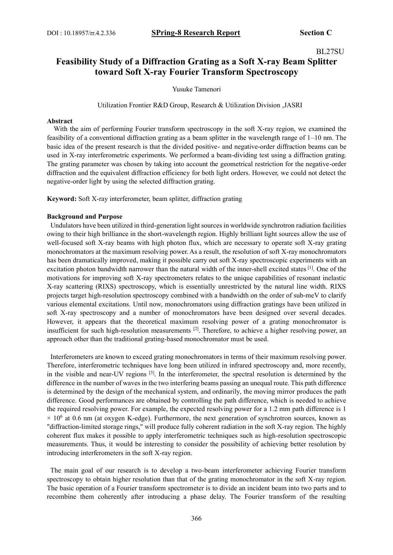# BL27SU

# **Feasibility Study of a Diffraction Grating as a Soft X-ray Beam Splitter toward Soft X-ray Fourier Transform Spectroscopy**

Yusuke Tamenori

Utilization Frontier R&D Group, Research & Utilization Division ,JASRI

### **Abstract**

With the aim of performing Fourier transform spectroscopy in the soft X-ray region, we examined the feasibility of a conventional diffraction grating as a beam splitter in the wavelength range of 1–10 nm. The basic idea of the present research is that the divided positive- and negative-order diffraction beams can be used in X-ray interferometric experiments. We performed a beam-dividing test using a diffraction grating. The grating parameter was chosen by taking into account the geometrical restriction for the negative-order diffraction and the equivalent diffraction efficiency for both light orders. However, we could not detect the negative-order light by using the selected diffraction grating.

**Keyword:** Soft X-ray interferometer, beam splitter, diffraction grating

#### **Background and Purpose**

Undulators have been utilized in third-generation light sources in worldwide synchrotron radiation facilities owing to their high brilliance in the short-wavelength region. Highly brilliant light sources allow the use of well-focused soft X-ray beams with high photon flux, which are necessary to operate soft X-ray grating monochromators at the maximum resolving power. As a result, the resolution of soft X-ray monochromators has been dramatically improved, making it possible carry out soft X-ray spectroscopic experiments with an excitation photon bandwidth narrower than the natural width of the inner-shell excited states [1]. One of the motivations for improving soft X-ray spectrometers relates to the unique capabilities of resonant inelastic X-ray scattering (RIXS) spectroscopy, which is essentially unrestricted by the natural line width. RIXS projects target high-resolution spectroscopy combined with a bandwidth on the order of sub-meV to clarify various elemental excitations. Until now, monochromators using diffraction gratings have been utilized in soft X-ray spectroscopy and a number of monochromators have been designed over several decades. However, it appears that the theoretical maximum resolving power of a grating monochromator is insufficient for such high-resolution measurements <sup>[2]</sup>. Therefore, to achieve a higher resolving power, an approach other than the traditional grating-based monochromator must be used.

Interferometers are known to exceed grating monochromators in terms of their maximum resolving power. Therefore, interferometric techniques have long been utilized in infrared spectroscopy and, more recently, in the visible and near-UV regions [3]. In the interferometer, the spectral resolution is determined by the difference in the number of waves in the two interfering beams passing an unequal route. This path difference is determined by the design of the mechanical system, and ordinarily, the moving mirror produces the path difference. Good performances are obtained by controlling the path difference, which is needed to achieve the required resolving power. For example, the expected resolving power for a 1.2 mm path difference is 1  $\times$  10<sup>6</sup> at 0.6 nm (at oxygen K-edge). Furthermore, the next generation of synchrotron sources, known as "diffraction-limited storage rings," will produce fully coherent radiation in the soft X-ray region. The highly coherent flux makes it possible to apply interferometric techniques such as high-resolution spectroscopic measurements. Thus, it would be interesting to consider the possibility of achieving better resolution by introducing interferometers in the soft X-ray region.

The main goal of our research is to develop a two-beam interferometer achieving Fourier transform spectroscopy to obtain higher resolution than that of the grating monochromator in the soft X-ray region. The basic operation of a Fourier transform spectrometer is to divide an incident beam into two parts and to recombine them coherently after introducing a phase delay. The Fourier transform of the resulting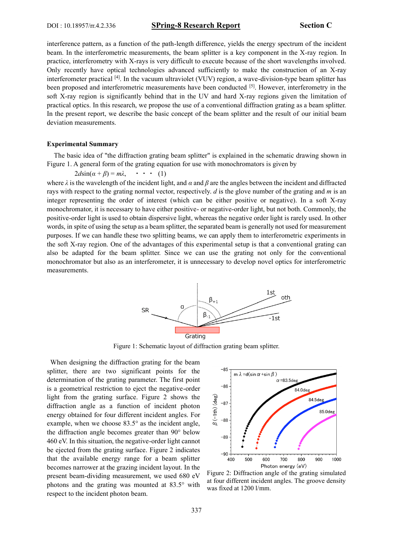interference pattern, as a function of the path-length difference, yields the energy spectrum of the incident beam. In the interferometric measurements, the beam splitter is a key component in the X-ray region. In practice, interferometry with X-rays is very difficult to execute because of the short wavelengths involved. Only recently have optical technologies advanced sufficiently to make the construction of an X-ray interferometer practical [4]. In the vacuum ultraviolet (VUV) region, a wave-division-type beam splitter has been proposed and interferometric measurements have been conducted [5]. However, interferometry in the soft X-ray region is significantly behind that in the UV and hard X-ray regions given the limitation of practical optics. In this research, we propose the use of a conventional diffraction grating as a beam splitter. In the present report, we describe the basic concept of the beam splitter and the result of our initial beam deviation measurements.

### **Experimental Summary**

The basic idea of "the diffraction grating beam splitter" is explained in the schematic drawing shown in Figure 1. A general form of the grating equation for use with monochromators is given by

 $2d\sin(\alpha + \beta) = m\lambda$ ,  $\cdots$  (1)

where  $\lambda$  is the wavelength of the incident light, and  $\alpha$  and  $\beta$  are the angles between the incident and diffracted rays with respect to the grating normal vector, respectively. *d* is the glove number of the grating and *m* is an integer representing the order of interest (which can be either positive or negative). In a soft X-ray monochromator, it is necessary to have either positive- or negative-order light, but not both. Commonly, the positive-order light is used to obtain dispersive light, whereas the negative order light is rarely used. In other words, in spite of using the setup as a beam splitter, the separated beam is generally not used for measurement purposes. If we can handle these two splitting beams, we can apply them to interferometric experiments in the soft X-ray region. One of the advantages of this experimental setup is that a conventional grating can also be adapted for the beam splitter. Since we can use the grating not only for the conventional monochromator but also as an interferometer, it is unnecessary to develop novel optics for interferometric measurements.



Figure 1: Schematic layout of diffraction grating beam splitter.

When designing the diffraction grating for the beam splitter, there are two significant points for the determination of the grating parameter. The first point is a geometrical restriction to eject the negative-order light from the grating surface. Figure 2 shows the diffraction angle as a function of incident photon energy obtained for four different incident angles. For example, when we choose 83.5° as the incident angle, the diffraction angle becomes greater than 90° below 460 eV. In this situation, the negative-order light cannot be ejected from the grating surface. Figure 2 indicates that the available energy range for a beam splitter becomes narrower at the grazing incident layout. In the present beam-dividing measurement, we used 680 eV photons and the grating was mounted at 83.5° with respect to the incident photon beam.



Figure 2: Diffraction angle of the grating simulated at four different incident angles. The groove density was fixed at 1200 l/mm.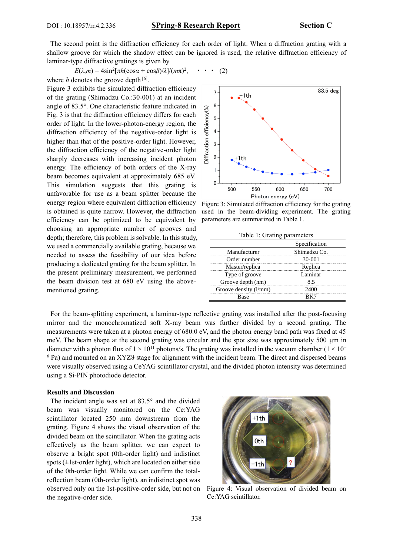## DOI : 10.18957/rr.4.2.336 **SPring-8 Research Report Section C**

The second point is the diffraction efficiency for each order of light. When a diffraction grating with a shallow groove for which the shadow effect can be ignored is used, the relative diffraction efficiency of laminar-type diffractive gratings is given by

$$
E(\lambda, m) = 4\sin^2[\pi h(\cos\alpha + \cos\beta)/\lambda]/(m\pi)^2, \quad \cdot \quad \cdot \quad (2)
$$
  
where *h* denotes the groove depth <sup>[6]</sup>.

Figure 3 exhibits the simulated diffraction efficiency of the grating (Shimadzu Co.:30-001) at an incident angle of 83.5°. One characteristic feature indicated in Fig. 3 is that the diffraction efficiency differs for each order of light. In the lower-photon-energy region, the diffraction efficiency of the negative-order light is higher than that of the positive-order light. However, the diffraction efficiency of the negative-order light sharply decreases with increasing incident photon energy. The efficiency of both orders of the X-ray beam becomes equivalent at approximately 685 eV. This simulation suggests that this grating is unfavorable for use as a beam splitter because the energy region where equivalent diffraction efficiency is obtained is quite narrow. However, the diffraction efficiency can be optimized to be equivalent by choosing an appropriate number of grooves and depth; therefore, this problem is solvable. In this study, we used a commercially available grating, because we needed to assess the feasibility of our idea before producing a dedicated grating for the beam splitter. In the present preliminary measurement, we performed the beam division test at 680 eV using the abovementioned grating.



Figure 3: Simulated diffraction efficiency for the grating used in the beam-dividing experiment. The grating parameters are summarized in Table 1.

Table 1; Grating parameters

|                       | Specification |
|-----------------------|---------------|
| Manufacturer          | Shimadzu Co.  |
| Order number          | 30-001        |
| Master/replica        | Replica       |
| Type of groove        | Laminar       |
| Groove depth (nm)     | 85 S          |
| Groove density (1/mm) |               |
| Rase                  |               |

For the beam-splitting experiment, a laminar-type reflective grating was installed after the post-focusing mirror and the monochromatized soft X-ray beam was further divided by a second grating. The measurements were taken at a photon energy of 680.0 eV, and the photon energy band path was fixed at 45 meV. The beam shape at the second grating was circular and the spot size was approximately 500 μm in diameter with a photon flux of  $1 \times 10^{11}$  photons/s. The grating was installed in the vacuum chamber ( $1 \times 10^{-1}$ ) <sup>6</sup> Pa) and mounted on an XYZ� stage for alignment with the incident beam. The direct and dispersed beams were visually observed using a CeYAG scintillator crystal, and the divided photon intensity was determined using a Si-PIN photodiode detector.

### **Results and Discussion**

The incident angle was set at 83.5° and the divided beam was visually monitored on the Ce:YAG scintillator located 250 mm downstream from the grating. Figure 4 shows the visual observation of the divided beam on the scintillator. When the grating acts effectively as the beam splitter, we can expect to observe a bright spot (0th-order light) and indistinct spots  $(\pm 1$ st-order light), which are located on either side of the 0th-order light. While we can confirm the totalreflection beam (0th-order light), an indistinct spot was observed only on the 1st-positive-order side, but not on the negative-order side.



Figure 4: Visual observation of divided beam on Ce:YAG scintillator.